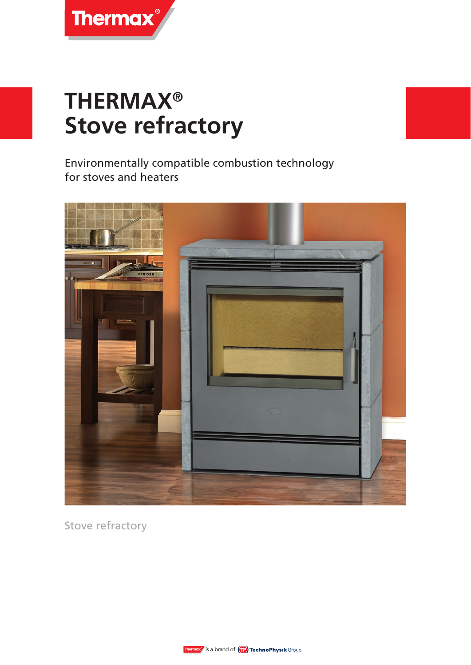

# **THERMAX® Stove refractory**

Environmentally compatible combustion technology for stoves and heaters



Stove refractory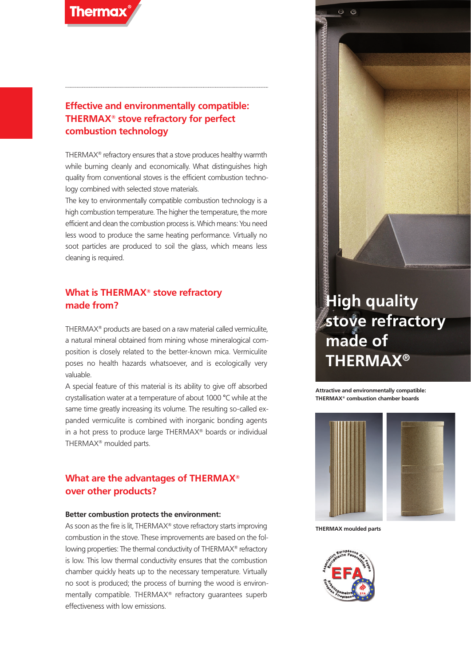

#### **Effective and environmentally compatible: THERMAX® stove refractory for perfect combustion technology**

THERMAX® refractory ensures that a stove produces healthy warmth while burning cleanly and economically. What distinguishes high quality from conventional stoves is the efficient combustion technology combined with selected stove materials.

The key to environmentally compatible combustion technology is a high combustion temperature. The higher the temperature, the more efficient and clean the combustion process is. Which means: You need less wood to produce the same heating performance. Virtually no soot particles are produced to soil the glass, which means less cleaning is required.

#### **What is THERMAX® stove refractory made from?**

THERMAX® products are based on a raw material called vermiculite, a natural mineral obtained from mining whose mineralogical composition is closely related to the better-known mica. Vermiculite poses no health hazards whatsoever, and is ecologically very valuable.

A special feature of this material is its ability to give off absorbed crystallisation water at a temperature of about 1000 °C while at the same time greatly increasing its volume. The resulting so-called expanded vermiculite is combined with inorganic bonding agents in a hot press to produce large THERMAX® boards or individual THERMAX® moulded parts.

#### **What are the advantages of THERMAX® over other products?**

#### **Better combustion protects the environment:**

As soon as the fire is lit, THERMAX<sup>®</sup> stove refractory starts improving combustion in the stove. These improvements are based on the following properties: The thermal conductivity of THERMAX® refractory is low. This low thermal conductivity ensures that the combustion chamber quickly heats up to the necessary temperature. Virtually no soot is produced; the process of burning the wood is environmentally compatible. THERMAX® refractory guarantees superb effectiveness with low emissions.

## **High quality stove refractory made of THERMAX®**

**Attractive and environmentally compatible: THERMAX® combustion chamber boards**



 $\epsilon$ 



**THERMAX moulded parts**

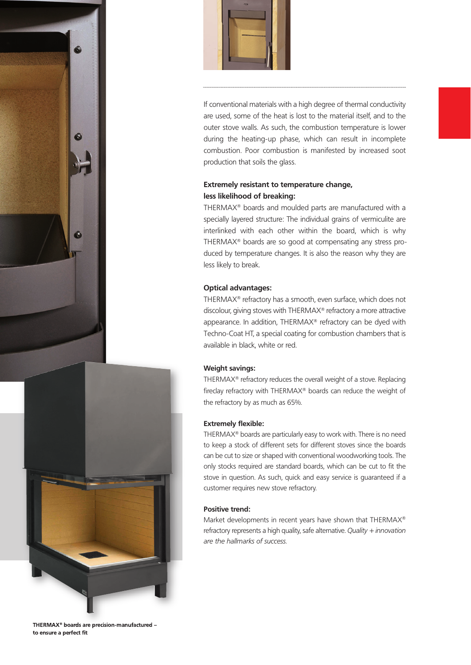





If conventional materials with a high degree of thermal conductivity are used, some of the heat is lost to the material itself, and to the outer stove walls. As such, the combustion temperature is lower during the heating-up phase, which can result in incomplete combustion. Poor combustion is manifested by increased soot production that soils the glass.

#### **Extremely resistant to temperature change, less likelihood of breaking:**

THERMAX® boards and moulded parts are manufactured with a specially layered structure: The individual grains of vermiculite are interlinked with each other within the board, which is why THERMAX® boards are so good at compensating any stress produced by temperature changes. It is also the reason why they are less likely to break.

#### **Optical advantages:**

THERMAX® refractory has a smooth, even surface, which does not discolour, giving stoves with THERMAX® refractory a more attractive appearance. In addition, THERMAX® refractory can be dyed with Techno-Coat HT, a special coating for combustion chambers that is available in black, white or red.

#### **Weight savings:**

THERMAX® refractory reduces the overall weight of a stove. Replacing fireclay refractory with THERMAX® boards can reduce the weight of the refractory by as much as 65%.

#### **Extremely flexible:**

THERMAX® boards are particularly easy to work with. There is no need to keep a stock of different sets for different stoves since the boards can be cut to size or shaped with conventional woodworking tools. The only stocks required are standard boards, which can be cut to fit the stove in question. As such, quick and easy service is guaranteed if a customer requires new stove refractory.

#### **Positive trend:**

Market developments in recent years have shown that THERMAX® refractory represents a high quality, safe alternative. *Quality + innovation are the hallmarks of success.*

**THERMAX® boards are precision-manufactured – to ensure a perfect fit**